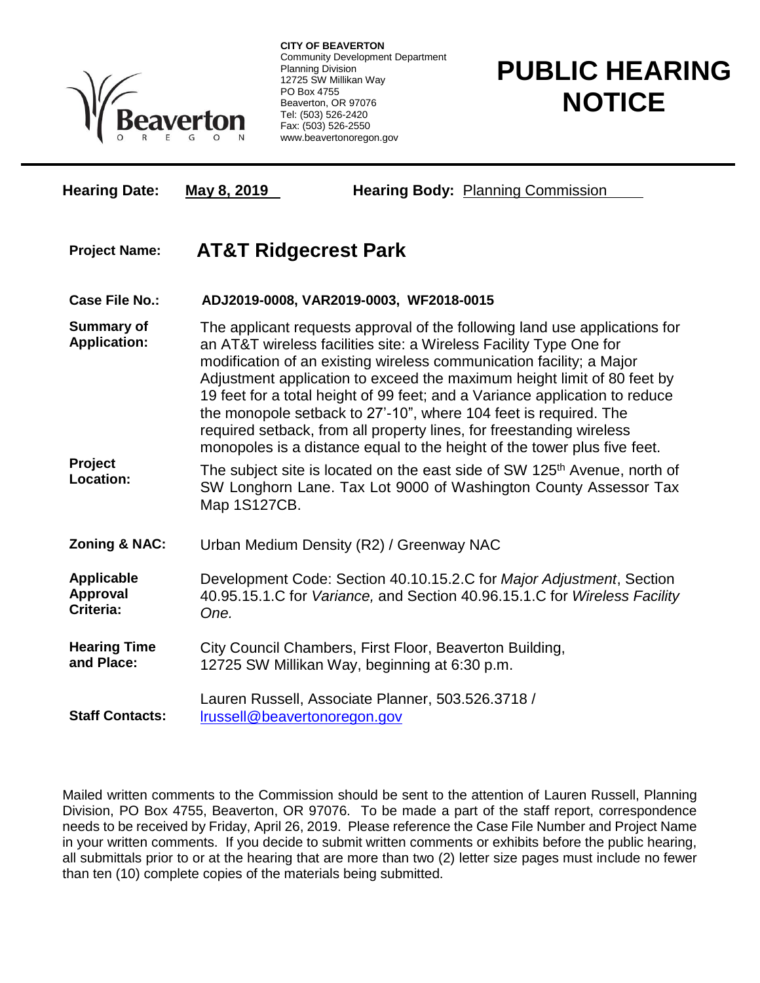

**CITY OF BEAVERTON** Community Development Department Planning Division 12725 SW Millikan Way PO Box 4755 Beaverton, OR 97076 Tel: (503) 526-2420 Fax: (503) 526-2550 www.beavertonoregon.gov

## **PUBLIC HEARING NOTICE**

**Hearing Date: May 8, 2019 Hearing Body:** Planning Commission **Project Name: AT&T Ridgecrest Park Case File No.: ADJ2019-0008, VAR2019-0003, WF2018-0015 Summary of Application:** The applicant requests approval of the following land use applications for an AT&T wireless facilities site: a Wireless Facility Type One for modification of an existing wireless communication facility; a Major Adjustment application to exceed the maximum height limit of 80 feet by 19 feet for a total height of 99 feet; and a Variance application to reduce the monopole setback to 27'-10", where 104 feet is required. The required setback, from all property lines, for freestanding wireless monopoles is a distance equal to the height of the tower plus five feet. **Project Location:** The subject site is located on the east side of SW 125<sup>th</sup> Avenue, north of SW Longhorn Lane. Tax Lot 9000 of Washington County Assessor Tax Map 1S127CB. **Zoning & NAC:** Urban Medium Density (R2) / Greenway NAC **Applicable Approval Criteria:** Development Code: Section 40.10.15.2.C for *Major Adjustment*, Section 40.95.15.1.C for *Variance,* and Section 40.96.15.1.C for *Wireless Facility One.* **Hearing Time and Place:** City Council Chambers, First Floor, Beaverton Building, 12725 SW Millikan Way, beginning at 6:30 p.m. **Staff Contacts:** Lauren Russell, Associate Planner, 503.526.3718 / [lrussell@beavertonoregon.gov](mailto:lrussell@beavertonoregon.gov)

Mailed written comments to the Commission should be sent to the attention of Lauren Russell, Planning Division, PO Box 4755, Beaverton, OR 97076. To be made a part of the staff report, correspondence needs to be received by Friday, April 26, 2019. Please reference the Case File Number and Project Name in your written comments. If you decide to submit written comments or exhibits before the public hearing, all submittals prior to or at the hearing that are more than two (2) letter size pages must include no fewer than ten (10) complete copies of the materials being submitted.